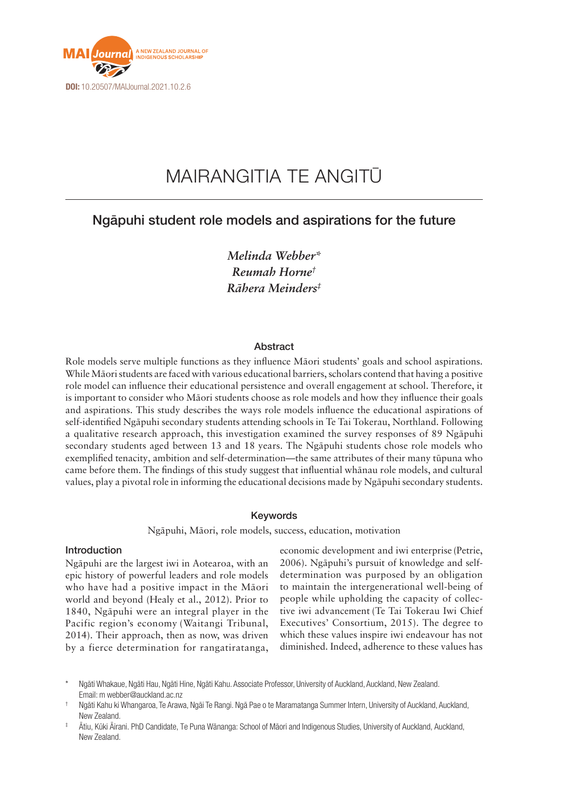

# MAIRANGITIA TE ANGITŪ

# Ngāpuhi student role models and aspirations for the future

*Melinda Webber\* Reumah Horne† Rāhera Meinders‡*

## Abstract

Role models serve multiple functions as they influence Māori students' goals and school aspirations. While Māori students are faced with various educational barriers, scholars contend that having a positive role model can influence their educational persistence and overall engagement at school. Therefore, it is important to consider who Māori students choose as role models and how they influence their goals and aspirations. This study describes the ways role models influence the educational aspirations of self-identified Ngāpuhi secondary students attending schools in Te Tai Tokerau, Northland. Following a qualitative research approach, this investigation examined the survey responses of 89 Ngāpuhi secondary students aged between 13 and 18 years. The Ngāpuhi students chose role models who exemplified tenacity, ambition and self-determination—the same attributes of their many tūpuna who came before them. The findings of this study suggest that influential whānau role models, and cultural values, play a pivotal role in informing the educational decisions made by Ngāpuhi secondary students.

#### Keywords

Ngāpuhi, Māori, role models, success, education, motivation

#### Introduction

Ngāpuhi are the largest iwi in Aotearoa, with an epic history of powerful leaders and role models who have had a positive impact in the Māori world and beyond (Healy et al., 2012). Prior to 1840, Ngāpuhi were an integral player in the Pacific region's economy (Waitangi Tribunal, 2014). Their approach, then as now, was driven by a fierce determination for rangatiratanga, economic development and iwi enterprise (Petrie, 2006). Ngāpuhi's pursuit of knowledge and selfdetermination was purposed by an obligation to maintain the intergenerational well-being of people while upholding the capacity of collective iwi advancement (Te Tai Tokerau Iwi Chief Executives' Consortium, 2015). The degree to which these values inspire iwi endeavour has not diminished. Indeed, adherence to these values has

Ngāti Whakaue, Ngāti Hau, Ngāti Hine, Ngāti Kahu. Associate Professor, University of Auckland, Auckland, New Zealand. Email: m [webber@auckland.ac.nz](mailto:webber@auckland.ac.nz)

<sup>†</sup> Ngāti Kahu ki Whangaroa, Te Arawa, Ngāi Te Rangi. Ngā Pae o te Maramatanga Summer Intern, University of Auckland, Auckland, New Zealand.

<sup>‡</sup> Ātiu, Kūki Āirani. PhD Candidate, Te Puna Wānanga: School of Māori and Indigenous Studies, University of Auckland, Auckland, New Zealand.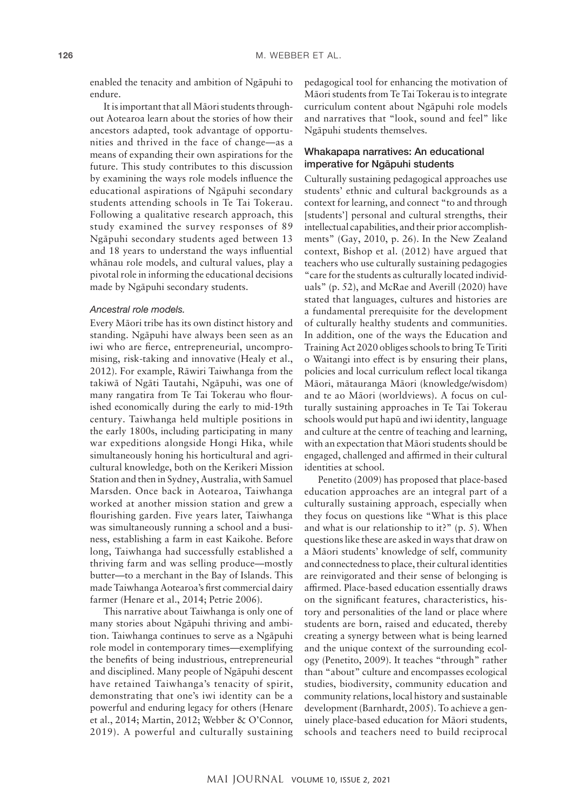enabled the tenacity and ambition of Ngāpuhi to endure.

It is important that all Māori students throughout Aotearoa learn about the stories of how their ancestors adapted, took advantage of opportunities and thrived in the face of change—as a means of expanding their own aspirations for the future. This study contributes to this discussion by examining the ways role models influence the educational aspirations of Ngāpuhi secondary students attending schools in Te Tai Tokerau. Following a qualitative research approach, this study examined the survey responses of 89 Ngāpuhi secondary students aged between 13 and 18 years to understand the ways influential whānau role models, and cultural values, play a pivotal role in informing the educational decisions made by Ngāpuhi secondary students.

#### *Ancestral role models.*

Every Māori tribe has its own distinct history and standing. Ngāpuhi have always been seen as an iwi who are fierce, entrepreneurial, uncompromising, risk-taking and innovative (Healy et al., 2012). For example, Rāwiri Taiwhanga from the takiwā of Ngāti Tautahi, Ngāpuhi, was one of many rangatira from Te Tai Tokerau who flourished economically during the early to mid-19th century. Taiwhanga held multiple positions in the early 1800s, including participating in many war expeditions alongside Hongi Hika, while simultaneously honing his horticultural and agricultural knowledge, both on the Kerikeri Mission Station and then in Sydney, Australia, with Samuel Marsden. Once back in Aotearoa, Taiwhanga worked at another mission station and grew a flourishing garden. Five years later, Taiwhanga was simultaneously running a school and a business, establishing a farm in east Kaikohe. Before long, Taiwhanga had successfully established a thriving farm and was selling produce—mostly butter—to a merchant in the Bay of Islands. This made Taiwhanga Aotearoa's first commercial dairy farmer (Henare et al., 2014; Petrie 2006).

This narrative about Taiwhanga is only one of many stories about Ngāpuhi thriving and ambition. Taiwhanga continues to serve as a Ngāpuhi role model in contemporary times—exemplifying the benefits of being industrious, entrepreneurial and disciplined. Many people of Ngāpuhi descent have retained Taiwhanga's tenacity of spirit, demonstrating that one's iwi identity can be a powerful and enduring legacy for others (Henare et al., 2014; Martin, 2012; Webber & O'Connor, 2019). A powerful and culturally sustaining pedagogical tool for enhancing the motivation of Māori students from Te Tai Tokerau is to integrate curriculum content about Ngāpuhi role models and narratives that "look, sound and feel" like Ngāpuhi students themselves.

# Whakapapa narratives: An educational imperative for Ngāpuhi students

Culturally sustaining pedagogical approaches use students' ethnic and cultural backgrounds as a context for learning, and connect "to and through [students'] personal and cultural strengths, their intellectual capabilities, and their prior accomplishments" (Gay, 2010, p. 26). In the New Zealand context, Bishop et al. (2012) have argued that teachers who use culturally sustaining pedagogies "care for the students as culturally located individuals" (p. 52), and McRae and Averill (2020) have stated that languages, cultures and histories are a fundamental prerequisite for the development of culturally healthy students and communities. In addition, one of the ways the Education and Training Act 2020 obliges schools to bring Te Tiriti o Waitangi into effect is by ensuring their plans, policies and local curriculum reflect local tikanga Māori, mātauranga Māori (knowledge/wisdom) and te ao Māori (worldviews). A focus on culturally sustaining approaches in Te Tai Tokerau schools would put hapū and iwi identity, language and culture at the centre of teaching and learning, with an expectation that Māori students should be engaged, challenged and affirmed in their cultural identities at school.

Penetito (2009) has proposed that place-based education approaches are an integral part of a culturally sustaining approach, especially when they focus on questions like "What is this place and what is our relationship to it?" (p. 5). When questions like these are asked in ways that draw on a Māori students' knowledge of self, community and connectedness to place, their cultural identities are reinvigorated and their sense of belonging is affirmed. Place-based education essentially draws on the significant features, characteristics, history and personalities of the land or place where students are born, raised and educated, thereby creating a synergy between what is being learned and the unique context of the surrounding ecology (Penetito, 2009). It teaches "through" rather than "about" culture and encompasses ecological studies, biodiversity, community education and community relations, local history and sustainable development (Barnhardt, 2005). To achieve a genuinely place-based education for Māori students, schools and teachers need to build reciprocal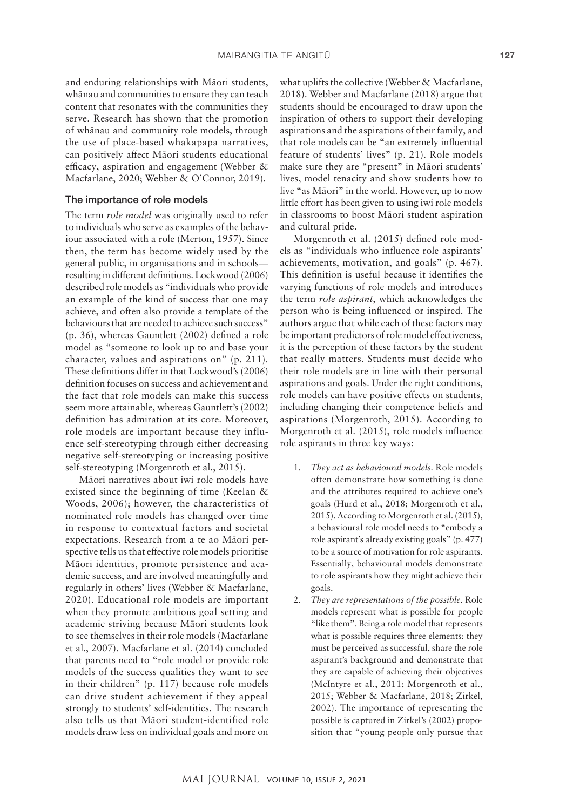and enduring relationships with Māori students, whānau and communities to ensure they can teach content that resonates with the communities they serve. Research has shown that the promotion of whānau and community role models, through the use of place-based whakapapa narratives, can positively affect Māori students educational efficacy, aspiration and engagement (Webber & Macfarlane, 2020; Webber & O'Connor, 2019).

## The importance of role models

The term *role model* was originally used to refer to individuals who serve as examples of the behaviour associated with a role (Merton, 1957). Since then, the term has become widely used by the general public, in organisations and in schools resulting in different definitions. Lockwood (2006) described role models as "individuals who provide an example of the kind of success that one may achieve, and often also provide a template of the behaviours that are needed to achieve such success" (p. 36), whereas Gauntlett (2002) defined a role model as "someone to look up to and base your character, values and aspirations on" (p. 211). These definitions differ in that Lockwood's (2006) definition focuses on success and achievement and the fact that role models can make this success seem more attainable, whereas Gauntlett's (2002) definition has admiration at its core. Moreover, role models are important because they influence self-stereotyping through either decreasing negative self-stereotyping or increasing positive self-stereotyping (Morgenroth et al., 2015).

Māori narratives about iwi role models have existed since the beginning of time (Keelan & Woods, 2006); however, the characteristics of nominated role models has changed over time in response to contextual factors and societal expectations. Research from a te ao Māori perspective tells us that effective role models prioritise Māori identities, promote persistence and academic success, and are involved meaningfully and regularly in others' lives (Webber & Macfarlane, 2020). Educational role models are important when they promote ambitious goal setting and academic striving because Māori students look to see themselves in their role models (Macfarlane et al., 2007). Macfarlane et al. (2014) concluded that parents need to "role model or provide role models of the success qualities they want to see in their children" (p. 117) because role models can drive student achievement if they appeal strongly to students' self-identities. The research also tells us that Māori student-identified role models draw less on individual goals and more on

what uplifts the collective (Webber & Macfarlane, 2018). Webber and Macfarlane (2018) argue that students should be encouraged to draw upon the inspiration of others to support their developing aspirations and the aspirations of their family, and that role models can be "an extremely influential feature of students' lives" (p. 21). Role models make sure they are "present" in Māori students' lives, model tenacity and show students how to live "as Māori" in the world. However, up to now little effort has been given to using iwi role models in classrooms to boost Māori student aspiration and cultural pride.

Morgenroth et al. (2015) defined role models as "individuals who influence role aspirants' achievements, motivation, and goals" (p. 467). This definition is useful because it identifies the varying functions of role models and introduces the term *role aspirant*, which acknowledges the person who is being influenced or inspired. The authors argue that while each of these factors may be important predictors of role model effectiveness, it is the perception of these factors by the student that really matters. Students must decide who their role models are in line with their personal aspirations and goals. Under the right conditions, role models can have positive effects on students, including changing their competence beliefs and aspirations (Morgenroth, 2015). According to Morgenroth et al. (2015), role models influence role aspirants in three key ways:

- 1. *They act as behavioural models.* Role models often demonstrate how something is done and the attributes required to achieve one's goals (Hurd et al., 2018; Morgenroth et al., 2015). According to Morgenroth et al. (2015), a behavioural role model needs to "embody a role aspirant's already existing goals" (p. 477) to be a source of motivation for role aspirants. Essentially, behavioural models demonstrate to role aspirants how they might achieve their goals.
- 2. *They are representations of the possible.* Role models represent what is possible for people "like them". Being a role model that represents what is possible requires three elements: they must be perceived as successful, share the role aspirant's background and demonstrate that they are capable of achieving their objectives (McIntyre et al., 2011; Morgenroth et al., 2015; Webber & Macfarlane, 2018; Zirkel, 2002). The importance of representing the possible is captured in Zirkel's (2002) proposition that "young people only pursue that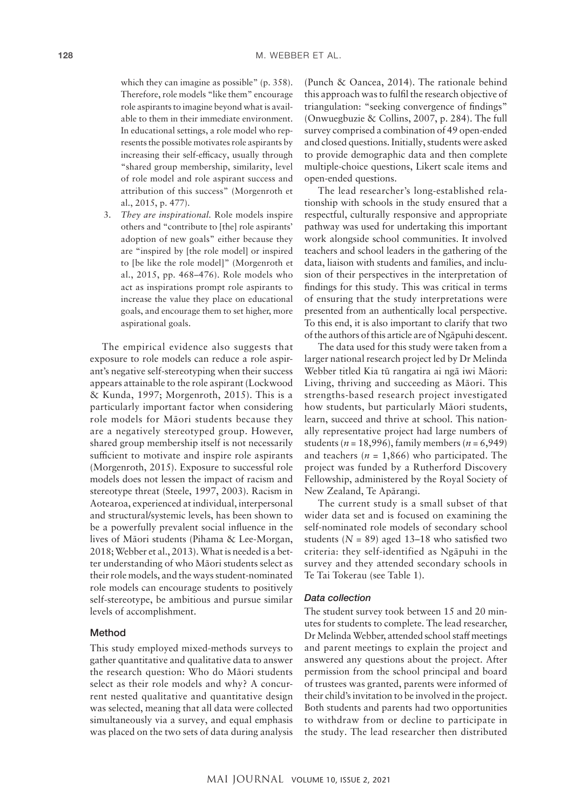which they can imagine as possible" (p. 358). Therefore, role models "like them" encourage role aspirants to imagine beyond what is available to them in their immediate environment. In educational settings, a role model who represents the possible motivates role aspirants by increasing their self-efficacy, usually through "shared group membership, similarity, level of role model and role aspirant success and attribution of this success" (Morgenroth et al., 2015, p. 477).

3. *They are inspirational.* Role models inspire others and "contribute to [the] role aspirants' adoption of new goals" either because they are "inspired by [the role model] or inspired to [be like the role model]" (Morgenroth et al., 2015, pp. 468–476). Role models who act as inspirations prompt role aspirants to increase the value they place on educational goals, and encourage them to set higher, more aspirational goals.

The empirical evidence also suggests that exposure to role models can reduce a role aspirant's negative self-stereotyping when their success appears attainable to the role aspirant (Lockwood & Kunda, 1997; Morgenroth, 2015). This is a particularly important factor when considering role models for Māori students because they are a negatively stereotyped group. However, shared group membership itself is not necessarily sufficient to motivate and inspire role aspirants (Morgenroth, 2015). Exposure to successful role models does not lessen the impact of racism and stereotype threat (Steele, 1997, 2003). Racism in Aotearoa, experienced at individual, interpersonal and structural/systemic levels, has been shown to be a powerfully prevalent social influence in the lives of Māori students (Pihama & Lee-Morgan, 2018; Webber et al., 2013). What is needed is a better understanding of who Māori students select as their role models, and the ways student-nominated role models can encourage students to positively self-stereotype, be ambitious and pursue similar levels of accomplishment.

# Method

This study employed mixed-methods surveys to gather quantitative and qualitative data to answer the research question: Who do Māori students select as their role models and why? A concurrent nested qualitative and quantitative design was selected, meaning that all data were collected simultaneously via a survey, and equal emphasis was placed on the two sets of data during analysis

(Punch & Oancea, 2014). The rationale behind this approach was to fulfil the research objective of triangulation: "seeking convergence of findings" (Onwuegbuzie & Collins, 2007, p. 284). The full survey comprised a combination of 49 open-ended and closed questions. Initially, students were asked to provide demographic data and then complete multiple-choice questions, Likert scale items and open-ended questions.

The lead researcher's long-established relationship with schools in the study ensured that a respectful, culturally responsive and appropriate pathway was used for undertaking this important work alongside school communities. It involved teachers and school leaders in the gathering of the data, liaison with students and families, and inclusion of their perspectives in the interpretation of findings for this study. This was critical in terms of ensuring that the study interpretations were presented from an authentically local perspective. To this end, it is also important to clarify that two of the authors of this article are of Ngāpuhi descent.

The data used for this study were taken from a larger national research project led by Dr Melinda Webber titled Kia tū rangatira ai ngā iwi Māori: Living, thriving and succeeding as Māori. This strengths-based research project investigated how students, but particularly Māori students, learn, succeed and thrive at school. This nationally representative project had large numbers of students (*n* = 18,996), family members (*n* = 6,949) and teachers ( $n = 1,866$ ) who participated. The project was funded by a Rutherford Discovery Fellowship, administered by the Royal Society of New Zealand, Te Apārangi.

The current study is a small subset of that wider data set and is focused on examining the self-nominated role models of secondary school students  $(N = 89)$  aged 13–18 who satisfied two criteria: they self-identified as Ngāpuhi in the survey and they attended secondary schools in Te Tai Tokerau (see Table 1).

#### *Data collection*

The student survey took between 15 and 20 minutes for students to complete. The lead researcher, Dr Melinda Webber, attended school staff meetings and parent meetings to explain the project and answered any questions about the project. After permission from the school principal and board of trustees was granted, parents were informed of their child's invitation to be involved in the project. Both students and parents had two opportunities to withdraw from or decline to participate in the study. The lead researcher then distributed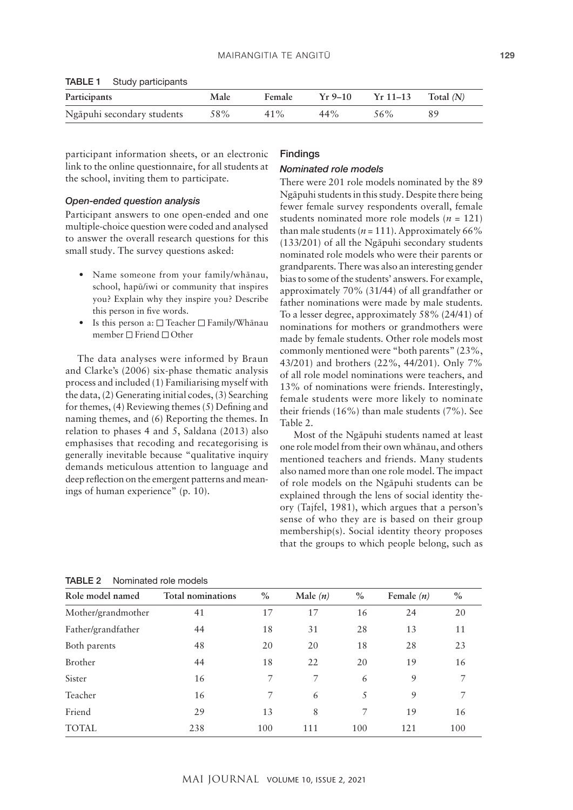| n a sa i cuci participanto |      |        |          |            |             |  |
|----------------------------|------|--------|----------|------------|-------------|--|
| Participants               | Male | Female | $Yr9-10$ | $Yr 11-13$ | Total $(N)$ |  |
| Ngāpuhi secondary students | 58%  | $41\%$ | $44\%$   | 56%        | 89          |  |

| <b>TABLE 1</b> | Study participants |
|----------------|--------------------|
|----------------|--------------------|

participant information sheets, or an electronic link to the online questionnaire, for all students at the school, inviting them to participate.

#### *Open-ended question analysis*

Participant answers to one open-ended and one multiple-choice question were coded and analysed to answer the overall research questions for this small study. The survey questions asked:

- Name someone from your family/whānau, school, hapū/iwi or community that inspires you? Explain why they inspire you? Describe this person in five words.
- Is this person a:  $\square$  Teacher  $\square$  Family/Whānau member  $\Box$  Friend  $\Box$  Other

The data analyses were informed by Braun and Clarke's (2006) six-phase thematic analysis process and included (1) Familiarising myself with the data, (2) Generating initial codes, (3) Searching for themes, (4) Reviewing themes (5) Defining and naming themes, and (6) Reporting the themes. In relation to phases 4 and 5, Saldana (2013) also emphasises that recoding and recategorising is generally inevitable because "qualitative inquiry demands meticulous attention to language and deep reflection on the emergent patterns and meanings of human experience" (p. 10).

# Findings

#### *Nominated role models*

There were 201 role models nominated by the 89 Ngāpuhi students in this study. Despite there being fewer female survey respondents overall, female students nominated more role models  $(n = 121)$ than male students ( $n = 111$ ). Approximately 66% (133/201) of all the Ngāpuhi secondary students nominated role models who were their parents or grandparents. There was also an interesting gender bias to some of the students' answers. For example, approximately 70% (31/44) of all grandfather or father nominations were made by male students. To a lesser degree, approximately 58% (24/41) of nominations for mothers or grandmothers were made by female students. Other role models most commonly mentioned were "both parents" (23%, 43/201) and brothers (22%, 44/201). Only 7% of all role model nominations were teachers, and 13% of nominations were friends. Interestingly, female students were more likely to nominate their friends (16%) than male students (7%). See Table 2.

Most of the Ngāpuhi students named at least one role model from their own whānau, and others mentioned teachers and friends. Many students also named more than one role model. The impact of role models on the Ngāpuhi students can be explained through the lens of social identity theory (Tajfel, 1981), which argues that a person's sense of who they are is based on their group membership(s). Social identity theory proposes that the groups to which people belong, such as

| Role model named   | <b>Total nominations</b> | $\%$ | Male $(n)$ | $\%$ | Female $(n)$ | $\%$ |
|--------------------|--------------------------|------|------------|------|--------------|------|
| Mother/grandmother | 41                       | 17   | 17         | 16   | 24           | 20   |
| Father/grandfather | 44                       | 18   | 31         | 28   | 13           | 11   |
| Both parents       | 48                       | 20   | 20         | 18   | 28           | 23   |
| Brother            | 44                       | 18   | 22         | 20   | 19           | 16   |
| Sister             | 16                       | 7    | 7          | 6    | 9            | 7    |
| Teacher            | 16                       | 7    | 6          | 5    | 9            | 7    |
| Friend             | 29                       | 13   | 8          | 7    | 19           | 16   |
| TOTAL              | 238                      | 100  | 111        | 100  | 121          | 100  |

#### TABLE 2 Nominated role models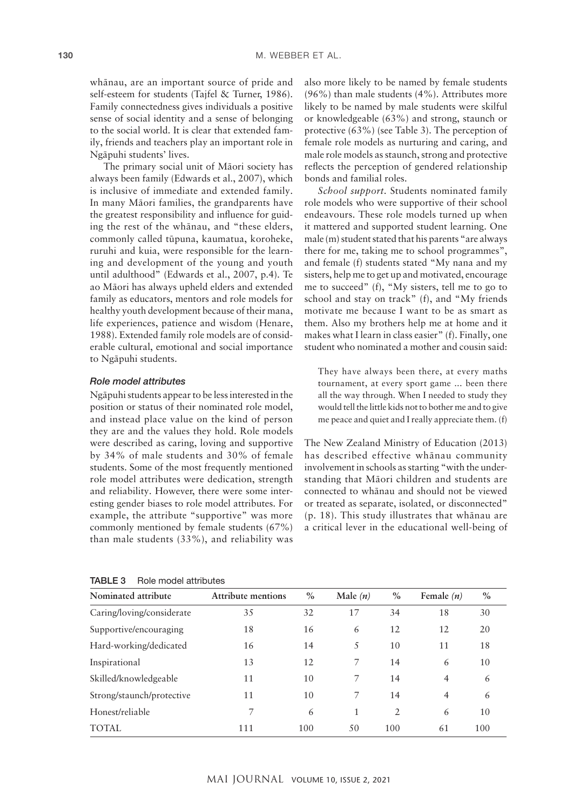whānau, are an important source of pride and self-esteem for students (Tajfel & Turner, 1986). Family connectedness gives individuals a positive sense of social identity and a sense of belonging to the social world. It is clear that extended family, friends and teachers play an important role in Ngāpuhi students' lives.

The primary social unit of Māori society has always been family (Edwards et al., 2007), which is inclusive of immediate and extended family. In many Māori families, the grandparents have the greatest responsibility and influence for guiding the rest of the whānau, and "these elders, commonly called tūpuna, kaumatua, koroheke, ruruhi and kuia, were responsible for the learning and development of the young and youth until adulthood" (Edwards et al., 2007, p.4). Te ao Māori has always upheld elders and extended family as educators, mentors and role models for healthy youth development because of their mana, life experiences, patience and wisdom (Henare, 1988). Extended family role models are of considerable cultural, emotional and social importance to Ngāpuhi students.

#### *Role model attributes*

Ngāpuhi students appear to be less interested in the position or status of their nominated role model, and instead place value on the kind of person they are and the values they hold. Role models were described as caring, loving and supportive by 34% of male students and 30% of female students. Some of the most frequently mentioned role model attributes were dedication, strength and reliability. However, there were some interesting gender biases to role model attributes. For example, the attribute "supportive" was more commonly mentioned by female students (67%) than male students (33%), and reliability was also more likely to be named by female students (96%) than male students (4%). Attributes more likely to be named by male students were skilful or knowledgeable (63%) and strong, staunch or protective (63%) (see Table 3). The perception of female role models as nurturing and caring, and male role models as staunch, strong and protective reflects the perception of gendered relationship bonds and familial roles.

*School support.* Students nominated family role models who were supportive of their school endeavours. These role models turned up when it mattered and supported student learning. One male (m) student stated that his parents "are always there for me, taking me to school programmes", and female (f) students stated "My nana and my sisters, help me to get up and motivated, encourage me to succeed" (f), "My sisters, tell me to go to school and stay on track" (f), and "My friends motivate me because I want to be as smart as them. Also my brothers help me at home and it makes what I learn in class easier" (f). Finally, one student who nominated a mother and cousin said:

They have always been there, at every maths tournament, at every sport game ... been there all the way through. When I needed to study they would tell the little kids not to bother me and to give me peace and quiet and I really appreciate them. (f)

The New Zealand Ministry of Education (2013) has described effective whānau community involvement in schools as starting "with the understanding that Māori children and students are connected to whānau and should not be viewed or treated as separate, isolated, or disconnected" (p. 18). This study illustrates that whānau are a critical lever in the educational well-being of

| Nominated attribute       | <b>Attribute mentions</b> | $\%$ | Male $(n)$ | $\%$ | Female $(n)$   | $\%$ |
|---------------------------|---------------------------|------|------------|------|----------------|------|
| Caring/loving/considerate | 35                        | 32   | 17         | 34   | 18             | 30   |
| Supportive/encouraging    | 18                        | 16   | 6          | 12   | 12             | 20   |
| Hard-working/dedicated    | 16                        | 14   | 5          | 10   | 11             | 18   |
| Inspirational             | 13                        | 12   | 7          | 14   | 6              | 10   |
| Skilled/knowledgeable     | 11                        | 10   | 7          | 14   | $\overline{4}$ | 6    |
| Strong/staunch/protective | 11                        | 10   | 7          | 14   | $\overline{4}$ | 6    |
| Honest/reliable           | 7                         | 6    | 1          | 2    | 6              | 10   |
| TOTAL                     | 111                       | 100  | 50         | 100  | 61             | 100  |

TABLE 3 Role model attributes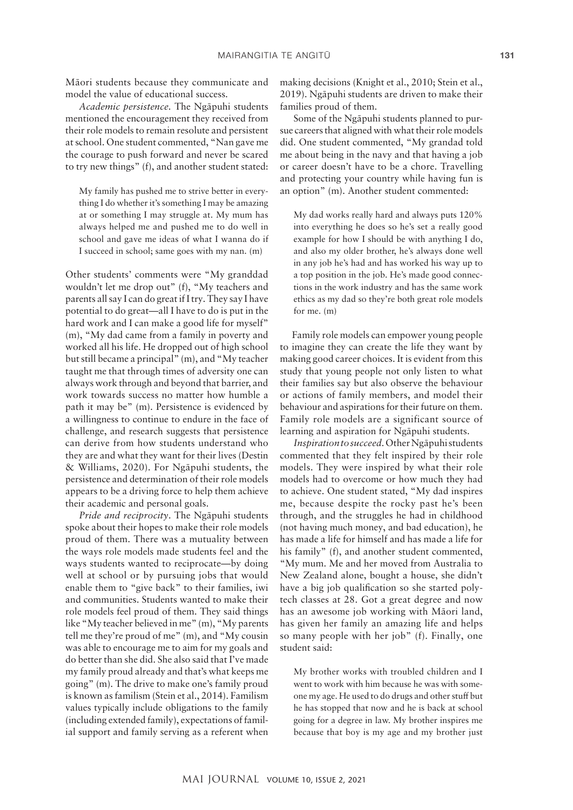Māori students because they communicate and model the value of educational success.

*Academic persistence.* The Ngāpuhi students mentioned the encouragement they received from their role models to remain resolute and persistent at school. One student commented, "Nan gave me the courage to push forward and never be scared to try new things" (f), and another student stated:

My family has pushed me to strive better in everything I do whether it's something I may be amazing at or something I may struggle at. My mum has always helped me and pushed me to do well in school and gave me ideas of what I wanna do if I succeed in school; same goes with my nan. (m)

Other students' comments were "My granddad wouldn't let me drop out" (f), "My teachers and parents all say I can do great if I try. They say I have potential to do great—all I have to do is put in the hard work and I can make a good life for myself" (m), "My dad came from a family in poverty and worked all his life. He dropped out of high school but still became a principal" (m), and "My teacher taught me that through times of adversity one can always work through and beyond that barrier, and work towards success no matter how humble a path it may be" (m). Persistence is evidenced by a willingness to continue to endure in the face of challenge, and research suggests that persistence can derive from how students understand who they are and what they want for their lives (Destin & Williams, 2020). For Ngāpuhi students, the persistence and determination of their role models appears to be a driving force to help them achieve their academic and personal goals.

*Pride and reciprocity*. The Ngāpuhi students spoke about their hopes to make their role models proud of them. There was a mutuality between the ways role models made students feel and the ways students wanted to reciprocate—by doing well at school or by pursuing jobs that would enable them to "give back" to their families, iwi and communities. Students wanted to make their role models feel proud of them. They said things like "My teacher believed in me" (m), "My parents tell me they're proud of me" (m), and "My cousin was able to encourage me to aim for my goals and do better than she did. She also said that I've made my family proud already and that's what keeps me going" (m). The drive to make one's family proud is known as familism (Stein et al., 2014). Familism values typically include obligations to the family (including extended family), expectations of familial support and family serving as a referent when making decisions (Knight et al., 2010; Stein et al., 2019). Ngāpuhi students are driven to make their families proud of them.

Some of the Ngāpuhi students planned to pursue careers that aligned with what their role models did. One student commented, "My grandad told me about being in the navy and that having a job or career doesn't have to be a chore. Travelling and protecting your country while having fun is an option" (m). Another student commented:

My dad works really hard and always puts 120% into everything he does so he's set a really good example for how I should be with anything I do, and also my older brother, he's always done well in any job he's had and has worked his way up to a top position in the job. He's made good connections in the work industry and has the same work ethics as my dad so they're both great role models for me. (m)

Family role models can empower young people to imagine they can create the life they want by making good career choices. It is evident from this study that young people not only listen to what their families say but also observe the behaviour or actions of family members, and model their behaviour and aspirations for their future on them. Family role models are a significant source of learning and aspiration for Ngāpuhi students.

*Inspiration to succeed.* Other Ngāpuhi students commented that they felt inspired by their role models. They were inspired by what their role models had to overcome or how much they had to achieve. One student stated, "My dad inspires me, because despite the rocky past he's been through, and the struggles he had in childhood (not having much money, and bad education), he has made a life for himself and has made a life for his family" (f), and another student commented, "My mum. Me and her moved from Australia to New Zealand alone, bought a house, she didn't have a big job qualification so she started polytech classes at 28. Got a great degree and now has an awesome job working with Māori land, has given her family an amazing life and helps so many people with her job" (f). Finally, one student said:

My brother works with troubled children and I went to work with him because he was with someone my age. He used to do drugs and other stuff but he has stopped that now and he is back at school going for a degree in law. My brother inspires me because that boy is my age and my brother just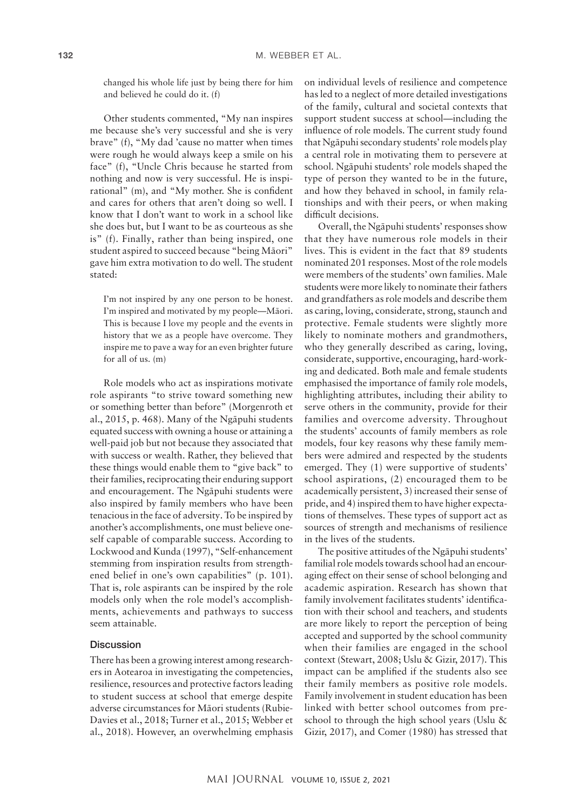changed his whole life just by being there for him and believed he could do it. (f)

Other students commented, "My nan inspires me because she's very successful and she is very brave" (f), "My dad 'cause no matter when times were rough he would always keep a smile on his face" (f), "Uncle Chris because he started from nothing and now is very successful. He is inspirational" (m), and "My mother. She is confident and cares for others that aren't doing so well. I know that I don't want to work in a school like she does but, but I want to be as courteous as she is" (f). Finally, rather than being inspired, one student aspired to succeed because "being Māori" gave him extra motivation to do well. The student stated:

I'm not inspired by any one person to be honest. I'm inspired and motivated by my people—Māori. This is because I love my people and the events in history that we as a people have overcome. They inspire me to pave a way for an even brighter future for all of us. (m)

Role models who act as inspirations motivate role aspirants "to strive toward something new or something better than before" (Morgenroth et al., 2015, p. 468). Many of the Ngāpuhi students equated success with owning a house or attaining a well-paid job but not because they associated that with success or wealth. Rather, they believed that these things would enable them to "give back" to their families, reciprocating their enduring support and encouragement. The Ngāpuhi students were also inspired by family members who have been tenacious in the face of adversity. To be inspired by another's accomplishments, one must believe oneself capable of comparable success. According to Lockwood and Kunda (1997), "Self-enhancement stemming from inspiration results from strengthened belief in one's own capabilities" (p. 101). That is, role aspirants can be inspired by the role models only when the role model's accomplishments, achievements and pathways to success seem attainable.

#### **Discussion**

There has been a growing interest among researchers in Aotearoa in investigating the competencies, resilience, resources and protective factors leading to student success at school that emerge despite adverse circumstances for Māori students (Rubie-Davies et al., 2018; Turner et al., 2015; Webber et al., 2018). However, an overwhelming emphasis

on individual levels of resilience and competence has led to a neglect of more detailed investigations of the family, cultural and societal contexts that support student success at school—including the influence of role models. The current study found that Ngāpuhi secondary students' role models play a central role in motivating them to persevere at school. Ngāpuhi students' role models shaped the type of person they wanted to be in the future, and how they behaved in school, in family relationships and with their peers, or when making difficult decisions.

Overall, the Ngāpuhi students' responses show that they have numerous role models in their lives. This is evident in the fact that 89 students nominated 201 responses. Most of the role models were members of the students' own families. Male students were more likely to nominate their fathers and grandfathers as role models and describe them as caring, loving, considerate, strong, staunch and protective. Female students were slightly more likely to nominate mothers and grandmothers, who they generally described as caring, loving, considerate, supportive, encouraging, hard-working and dedicated. Both male and female students emphasised the importance of family role models, highlighting attributes, including their ability to serve others in the community, provide for their families and overcome adversity. Throughout the students' accounts of family members as role models, four key reasons why these family members were admired and respected by the students emerged. They (1) were supportive of students' school aspirations, (2) encouraged them to be academically persistent, 3) increased their sense of pride, and 4) inspired them to have higher expectations of themselves. These types of support act as sources of strength and mechanisms of resilience in the lives of the students.

The positive attitudes of the Ngāpuhi students' familial role models towards school had an encouraging effect on their sense of school belonging and academic aspiration. Research has shown that family involvement facilitates students' identification with their school and teachers, and students are more likely to report the perception of being accepted and supported by the school community when their families are engaged in the school context (Stewart, 2008; Uslu & Gizir, 2017). This impact can be amplified if the students also see their family members as positive role models. Family involvement in student education has been linked with better school outcomes from preschool to through the high school years (Uslu & Gizir, 2017), and Comer (1980) has stressed that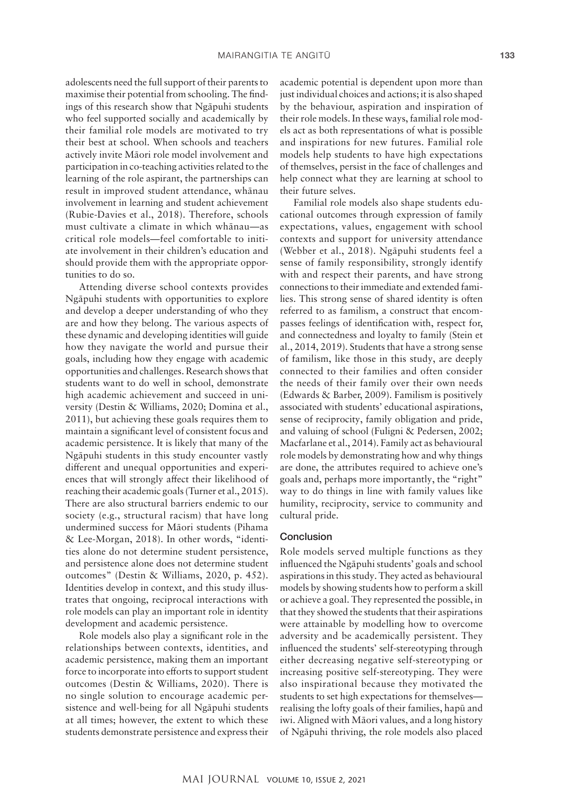adolescents need the full support of their parents to maximise their potential from schooling. The findings of this research show that Ngāpuhi students who feel supported socially and academically by their familial role models are motivated to try their best at school. When schools and teachers actively invite Māori role model involvement and participation in co-teaching activities related to the learning of the role aspirant, the partnerships can result in improved student attendance, whānau involvement in learning and student achievement (Rubie-Davies et al., 2018). Therefore, schools must cultivate a climate in which whānau—as critical role models—feel comfortable to initiate involvement in their children's education and should provide them with the appropriate opportunities to do so.

Attending diverse school contexts provides Ngāpuhi students with opportunities to explore and develop a deeper understanding of who they are and how they belong. The various aspects of these dynamic and developing identities will guide how they navigate the world and pursue their goals, including how they engage with academic opportunities and challenges. Research shows that students want to do well in school, demonstrate high academic achievement and succeed in university (Destin & Williams, 2020; Domina et al., 2011), but achieving these goals requires them to maintain a significant level of consistent focus and academic persistence. It is likely that many of the Ngāpuhi students in this study encounter vastly different and unequal opportunities and experiences that will strongly affect their likelihood of reaching their academic goals (Turner et al., 2015). There are also structural barriers endemic to our society (e.g., structural racism) that have long undermined success for Māori students (Pihama & Lee-Morgan, 2018). In other words, "identities alone do not determine student persistence, and persistence alone does not determine student outcomes" (Destin & Williams, 2020, p. 452). Identities develop in context, and this study illustrates that ongoing, reciprocal interactions with role models can play an important role in identity development and academic persistence.

Role models also play a significant role in the relationships between contexts, identities, and academic persistence, making them an important force to incorporate into efforts to support student outcomes (Destin & Williams, 2020). There is no single solution to encourage academic persistence and well-being for all Ngāpuhi students at all times; however, the extent to which these students demonstrate persistence and express their

academic potential is dependent upon more than just individual choices and actions; it is also shaped by the behaviour, aspiration and inspiration of their role models. In these ways, familial role models act as both representations of what is possible and inspirations for new futures. Familial role models help students to have high expectations of themselves, persist in the face of challenges and help connect what they are learning at school to their future selves.

Familial role models also shape students educational outcomes through expression of family expectations, values, engagement with school contexts and support for university attendance (Webber et al., 2018). Ngāpuhi students feel a sense of family responsibility, strongly identify with and respect their parents, and have strong connections to their immediate and extended families. This strong sense of shared identity is often referred to as familism, a construct that encompasses feelings of identification with, respect for, and connectedness and loyalty to family (Stein et al., 2014, 2019). Students that have a strong sense of familism, like those in this study, are deeply connected to their families and often consider the needs of their family over their own needs (Edwards & Barber, 2009). Familism is positively associated with students' educational aspirations, sense of reciprocity, family obligation and pride, and valuing of school (Fuligni & Pedersen, 2002; Macfarlane et al., 2014). Family act as behavioural role models by demonstrating how and why things are done, the attributes required to achieve one's goals and, perhaps more importantly, the "right" way to do things in line with family values like humility, reciprocity, service to community and cultural pride.

#### Conclusion

Role models served multiple functions as they influenced the Ngāpuhi students' goals and school aspirations in this study. They acted as behavioural models by showing students how to perform a skill or achieve a goal. They represented the possible, in that they showed the students that their aspirations were attainable by modelling how to overcome adversity and be academically persistent. They influenced the students' self-stereotyping through either decreasing negative self-stereotyping or increasing positive self-stereotyping. They were also inspirational because they motivated the students to set high expectations for themselves realising the lofty goals of their families, hapū and iwi. Aligned with Māori values, and a long history of Ngāpuhi thriving, the role models also placed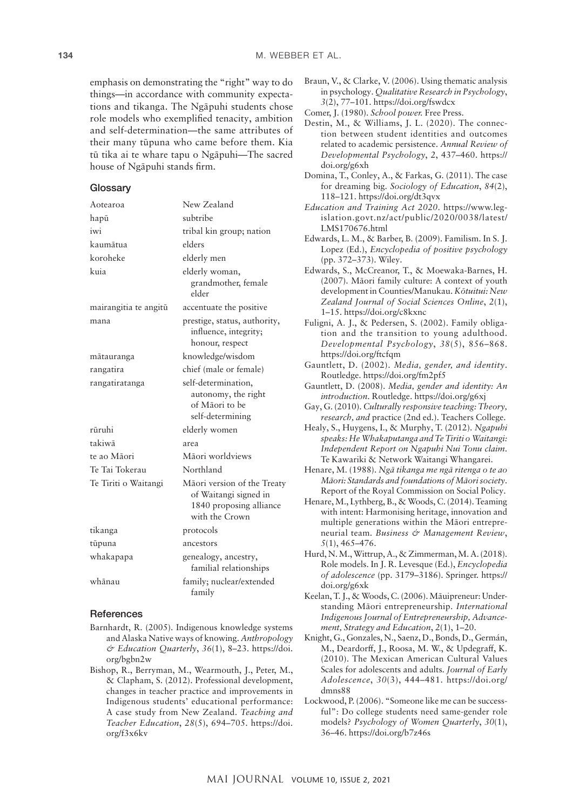emphasis on demonstrating the "right" way to do things—in accordance with community expectations and tikanga. The Ngāpuhi students chose role models who exemplified tenacity, ambition and self-determination—the same attributes of their many tūpuna who came before them. Kia tū tika ai te whare tapu o Ngāpuhi—The sacred house of Ngāpuhi stands firm.

#### **Glossary**

| Aotearoa              | New Zealand                                                                                       |
|-----------------------|---------------------------------------------------------------------------------------------------|
| hapū                  | subtribe                                                                                          |
| iwi                   | tribal kin group; nation                                                                          |
| kaumātua              | elders                                                                                            |
| koroheke              | elderly men                                                                                       |
| kuia                  | elderly woman,<br>grandmother, female<br>elder                                                    |
| mairangitia te angitū | accentuate the positive                                                                           |
| mana                  | prestige, status, authority,<br>influence, integrity;<br>honour, respect                          |
| mātauranga            | knowledge/wisdom                                                                                  |
| rangatira             | chief (male or female)                                                                            |
| rangatiratanga        | self-determination,<br>autonomy, the right<br>of Māori to be<br>self-determining                  |
| rūruhi                | elderly women                                                                                     |
| takiwā                | area                                                                                              |
| te ao Māori           | Māori worldviews                                                                                  |
| Te Tai Tokerau        | Northland                                                                                         |
| Te Tiriti o Waitangi  | Māori version of the Treaty<br>of Waitangi signed in<br>1840 proposing alliance<br>with the Crown |
| tikanga               | protocols                                                                                         |
| tūpuna                | ancestors                                                                                         |
| whakapapa             | genealogy, ancestry,<br>familial relationships                                                    |
| whānau                | family; nuclear/extended<br>family                                                                |

#### **References**

- Barnhardt, R. (2005). Indigenous knowledge systems and Alaska Native ways of knowing. *Anthropology & Education Quarterly*, *36*(1), 8–23. [https://doi.](https://doi.org/bgbn2w) [org/bgbn2w](https://doi.org/bgbn2w)
- Bishop, R., Berryman, M., Wearmouth, J., Peter, M., & Clapham, S. (2012). Professional development, changes in teacher practice and improvements in Indigenous students' educational performance: A case study from New Zealand. *Teaching and Teacher Education*, *28*(5), 694–705. [https://doi.](https://doi.org/f3x6kv) [org/f3x6kv](https://doi.org/f3x6kv)

Braun, V., & Clarke, V. (2006). Using thematic analysis in psychology. *Qualitative Research in Psychology*, *3*(2), 77–101.<https://doi.org/fswdcx>

Comer, J. (1980). *School power.* Free Press.

- Destin, M., & Williams, J. L. (2020). The connection between student identities and outcomes related to academic persistence. *Annual Review of Developmental Psychology*, *2*, 437–460. [https://](https://doi.org/g6xh) [doi.org/g6xh](https://doi.org/g6xh)
- Domina, T., Conley, A., & Farkas, G. (2011). The case for dreaming big. *Sociology of Education*, *84*(2), 118–121. <https://doi.org/dt3qvx>
- *Education and Training Act 2020*. [https://www.leg](https://www.legislation.govt.nz/act/public/2020/0038/latest/LMS170676.html)[islation.govt.nz/act/public/2020/0038/latest/](https://www.legislation.govt.nz/act/public/2020/0038/latest/LMS170676.html) [LMS170676.html](https://www.legislation.govt.nz/act/public/2020/0038/latest/LMS170676.html)
- Edwards, L. M., & Barber, B. (2009). Familism. In S. J. Lopez (Ed.), *Encyclopedia of positive psychology*  (pp. 372–373). Wiley.
- Edwards, S., McCreanor, T., & Moewaka-Barnes, H. (2007). Māori family culture: A context of youth development in Counties/Manukau. *Kōtuitui: New Zealand Journal of Social Sciences Online*, *2*(1), 1–15. <https://doi.org/c8kxnc>
- Fuligni, A. J., & Pedersen, S. (2002). Family obligation and the transition to young adulthood. *Developmental Psychology*, *38*(5), 856–868. <https://doi.org/ftcfqm>
- Gauntlett, D. (2002). *Media, gender, and identity*. Routledge. <https://doi.org/fm2pf5>
- Gauntlett, D. (2008). *Media, gender and identity: An introduction*. Routledge.<https://doi.org/g6xj>
- Gay, G. (2010). *Culturally responsive teaching: Theory, research, and* practice (2nd ed.). Teachers College.
- Healy, S., Huygens, I., & Murphy, T. (2012). *Ngapuhi speaks: He Whakaputanga and Te Tiriti o Waitangi: Independent Report on Ngapuhi Nui Tonu claim*. Te Kawariki & Network Waitangi Whangarei.
- Henare, M. (1988). *Ngā tikanga me ngā ritenga o te ao Māori: Standards and foundations of Māori society*. Report of the Royal Commission on Social Policy.
- Henare, M., Lythberg, B., & Woods, C. (2014). Teaming with intent: Harmonising heritage, innovation and multiple generations within the Māori entrepreneurial team. *Business & Management Review*, *5*(1), 465–476.
- Hurd, N. M., Wittrup, A., & Zimmerman, M. A. (2018). Role models. In J. R. Levesque (Ed.), *Encyclopedia of adolescence* (pp. 3179–3186). Springer. [https://](https://doi.org/g6xk) [doi.org/g6xk](https://doi.org/g6xk)
- Keelan, T. J., & Woods, C. (2006). Māuipreneur: Understanding Māori entrepreneurship. *International Indigenous Journal of Entrepreneurship, Advancement, Strategy and Education*, *2*(1), 1–20.
- Knight, G., Gonzales, N., Saenz, D., Bonds, D., Germán, M., Deardorff, J., Roosa, M. W., & Updegraff, K. (2010). The Mexican American Cultural Values Scales for adolescents and adults. *Journal of Early Adolescence*, *30*(3), 444–481. [https://doi.org/](https://doi.org/dmns88) [dmns88](https://doi.org/dmns88)
- Lockwood, P. (2006). "Someone like me can be successful": Do college students need same-gender role models? *Psychology of Women Quarterly*, *30*(1), 36–46. <https://doi.org/b7z46s>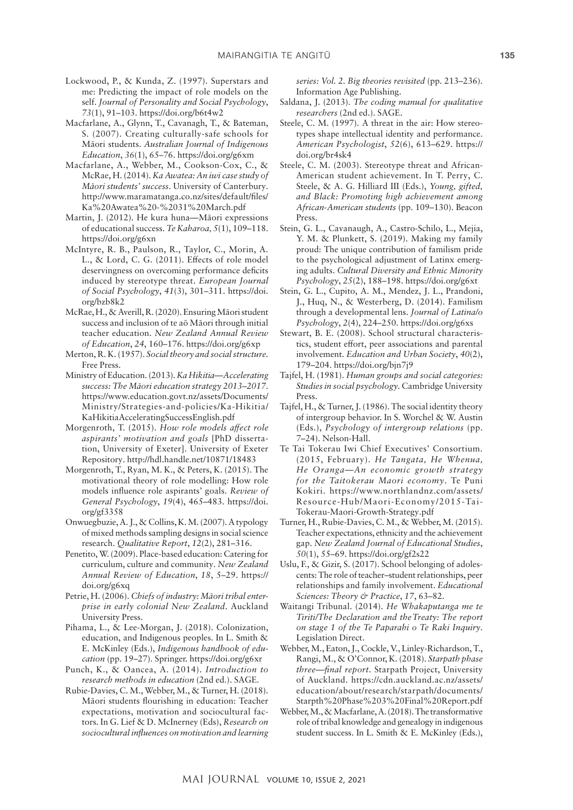- Lockwood, P., & Kunda, Z. (1997). Superstars and me: Predicting the impact of role models on the self. *Journal of Personality and Social Psychology*, *73*(1), 91–103.<https://doi.org/b6t4w2>
- Macfarlane, A., Glynn, T., Cavanagh, T., & Bateman, S. (2007). Creating culturally-safe schools for Māori students. *Australian Journal of Indigenous Education*, *36*(1), 65–76.<https://doi.org/g6xm>
- Macfarlane, A., Webber, M., Cookson-Cox, C., & McRae, H. (2014). *Ka Awatea: An iwi case study of Māori students' success*. University of Canterbury. [http://www.maramatanga.co.nz/sites/default/files/](http://www.maramatanga.co.nz/sites/default/files/Ka%20Awatea%20-%2031%20March.pdf) [Ka%20Awatea%20-%2031%20March.pdf](http://www.maramatanga.co.nz/sites/default/files/Ka%20Awatea%20-%2031%20March.pdf)
- Martin, J. (2012). He kura huna—Māori expressions of educational success. *Te Kaharoa, 5*(1), 109–118. <https://doi.org/g6xn>
- McIntyre, R. B., Paulson, R., Taylor, C., Morin, A. L., & Lord, C. G. (2011). Effects of role model deservingness on overcoming performance deficits induced by stereotype threat. *European Journal of Social Psychology*, *41*(3), 301–311. [https://doi.](https://doi.org/bzb8k2) [org/bzb8k2](https://doi.org/bzb8k2)
- McRae, H., & Averill, R. (2020). Ensuring Māori student success and inclusion of te aō Māori through initial teacher education. *New Zealand Annual Review of Education*, *24*, 160–176. <https://doi.org/g6xp>
- Merton, R. K. (1957). *Social theory and social structure.* Free Press.
- Ministry of Education. (2013). *Ka Hikitia—Accelerating success: The Māori education strategy 2013–2017*. [https://www.education.govt.nz/assets/Documents/](https://www.education.govt.nz/assets/Documents/Ministry/Strategies-and-policies/Ka-Hikitia/KaHikitiaAcceleratingSuccessEnglish.pdf) [Ministry/Strategies-and-policies/Ka-Hikitia/](https://www.education.govt.nz/assets/Documents/Ministry/Strategies-and-policies/Ka-Hikitia/KaHikitiaAcceleratingSuccessEnglish.pdf) [KaHikitiaAcceleratingSuccessEnglish.pdf](https://www.education.govt.nz/assets/Documents/Ministry/Strategies-and-policies/Ka-Hikitia/KaHikitiaAcceleratingSuccessEnglish.pdf)
- Morgenroth, T. (2015). *How role models affect role aspirants' motivation and goals* [PhD dissertation, University of Exeter]. University of Exeter Repository.<http://hdl.handle.net/10871/18483>
- Morgenroth, T., Ryan, M. K., & Peters, K. (2015). The motivational theory of role modelling: How role models influence role aspirants' goals. *Review of General Psychology*, *19*(4), 465–483. [https://doi.](https://doi.org/gf3358) [org/gf3358](https://doi.org/gf3358)
- Onwuegbuzie, A. J., & Collins, K. M. (2007). A typology of mixed methods sampling designs in social science research. *Qualitative Report*, *12*(2), 281–316.
- Penetito, W. (2009). Place-based education: Catering for curriculum, culture and community. *New Zealand Annual Review of Education*, *18*, 5–29. [https://](https://doi.org/g6xq) [doi.org/g6xq](https://doi.org/g6xq)
- Petrie, H. (2006). *Chiefs of industry: Māori tribal enterprise in early colonial New Zealand*. Auckland University Press.
- Pihama, L., & Lee-Morgan, J. (2018). Colonization, education, and Indigenous peoples. In L. Smith & E. McKinley (Eds.), *Indigenous handbook of education* (pp. 19–27). Springer.<https://doi.org/g6xr>
- Punch, K., & Oancea, A. (2014). *Introduction to research methods in education* (2nd ed.). SAGE.
- Rubie-Davies, C. M., Webber, M., & Turner, H. (2018). Māori students flourishing in education: Teacher expectations, motivation and sociocultural factors. In G. Lief & D. McInerney (Eds), *Research on sociocultural influences on motivation and learning*

*series: Vol. 2. Big theories revisited* (pp. 213–236). Information Age Publishing.

- Saldana, J. (2013). *The coding manual for qualitative researchers* (2nd ed.). SAGE.
- Steele, C. M. (1997). A threat in the air: How stereotypes shape intellectual identity and performance. *American Psychologist*, *52*(6), 613–629. [https://](https://doi.org/br4sk4) [doi.org/br4sk4](https://doi.org/br4sk4)
- Steele, C. M. (2003). Stereotype threat and African-American student achievement. In T. Perry, C. Steele, & A. G. Hilliard III (Eds.), *Young, gifted, and Black: Promoting high achievement among African-American students* (pp. 109–130). Beacon Press.
- Stein, G. L., Cavanaugh, A., Castro-Schilo, L., Mejia, Y. M. & Plunkett, S. (2019). Making my family proud: The unique contribution of familism pride to the psychological adjustment of Latinx emerging adults. *Cultural Diversity and Ethnic Minority Psychology*, *25*(2), 188–198.<https://doi.org/g6xt>
- Stein, G. L., Cupito, A. M., Mendez, J. L., Prandoni, J., Huq, N., & Westerberg, D. (2014). Familism through a developmental lens. *Journal of Latina/o Psychology*, *2*(4), 224–250.<https://doi.org/g6xs>
- Stewart, B. E. (2008). School structural characteristics, student effort, peer associations and parental involvement. *Education and Urban Society*, *40*(2), 179–204.<https://doi.org/bjn7j9>
- Tajfel, H. (1981). *Human groups and social categories: Studies in social psychology.* Cambridge University Press.
- Tajfel, H., & Turner, J. (1986). The social identity theory of intergroup behavior. In S. Worchel & W. Austin (Eds.), *Psychology of intergroup relations* (pp. 7–24). Nelson-Hall.
- Te Tai Tokerau Iwi Chief Executives' Consortium. (2015, February). *He Tangata, He Whenua, He Oranga—An economic growth strategy for the Taitokerau Maori economy*. Te Puni Kokiri. [https://www.northlandnz.com/assets/](https://www.northlandnz.com/assets/Resource-Hub/Maori-Economy/2015-Tai-Tokerau-Maori-Growth-Strategy.pdf) [Resource-Hub/Maori-Economy/2015-Tai-](https://www.northlandnz.com/assets/Resource-Hub/Maori-Economy/2015-Tai-Tokerau-Maori-Growth-Strategy.pdf)[Tokerau-Maori-Growth-Strategy.pdf](https://www.northlandnz.com/assets/Resource-Hub/Maori-Economy/2015-Tai-Tokerau-Maori-Growth-Strategy.pdf)
- Turner, H., Rubie-Davies, C. M., & Webber, M. (2015). Teacher expectations, ethnicity and the achievement gap. *New Zealand Journal of Educational Studies*, *50*(1), 55–69.<https://doi.org/gf2s22>
- Uslu, F., & Gizir, S. (2017). School belonging of adolescents: The role of teacher–student relationships, peer relationships and family involvement. *Educational Sciences: Theory & Practice*, *17*, 63–82.
- Waitangi Tribunal. (2014). *He Whakaputanga me te Tiriti/The Declaration and the Treaty: The report on stage 1 of the Te Paparahi o Te Raki Inquiry*. Legislation Direct.
- Webber, M., Eaton, J., Cockle, V., Linley-Richardson, T., Rangi, M., & O'Connor, K. (2018). *Starpath phase three—final report*. Starpath Project, University of Auckland. [https://cdn.auckland.ac.nz/assets/](https://cdn.auckland.ac.nz/assets/education/about/research/starpath/documents/Starpth%20Phase%203%20Final%20Report.pdf) [education/about/research/starpath/documents/](https://cdn.auckland.ac.nz/assets/education/about/research/starpath/documents/Starpth%20Phase%203%20Final%20Report.pdf) [Starpth%20Phase%203%20Final%20Report.pdf](https://cdn.auckland.ac.nz/assets/education/about/research/starpath/documents/Starpth%20Phase%203%20Final%20Report.pdf)
- Webber, M., & Macfarlane, A. (2018). The transformative role of tribal knowledge and genealogy in indigenous student success. In L. Smith & E. McKinley (Eds.),